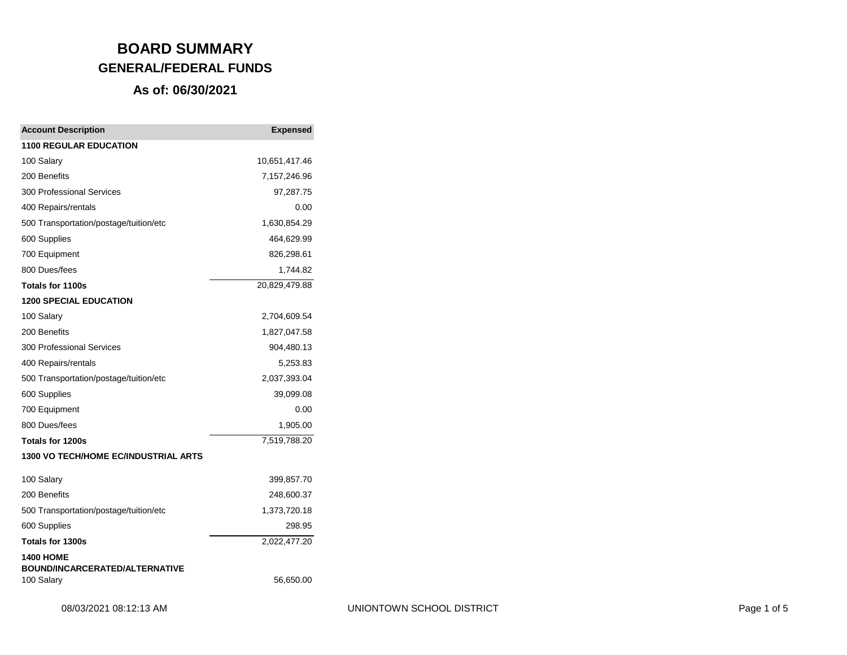| <b>Account Description</b>                          | <b>Expensed</b> |
|-----------------------------------------------------|-----------------|
| <b>1100 REGULAR EDUCATION</b>                       |                 |
| 100 Salary                                          | 10,651,417.46   |
| 200 Benefits                                        | 7,157,246.96    |
| <b>300 Professional Services</b>                    | 97,287.75       |
| 400 Repairs/rentals                                 | 0.00            |
| 500 Transportation/postage/tuition/etc              | 1,630,854.29    |
| 600 Supplies                                        | 464,629.99      |
| 700 Equipment                                       | 826,298.61      |
| 800 Dues/fees                                       | 1,744.82        |
| Totals for 1100s                                    | 20,829,479.88   |
| <b>1200 SPECIAL EDUCATION</b>                       |                 |
| 100 Salary                                          | 2,704,609.54    |
| 200 Benefits                                        | 1,827,047.58    |
| <b>300 Professional Services</b>                    | 904,480.13      |
| 400 Repairs/rentals                                 | 5,253.83        |
| 500 Transportation/postage/tuition/etc              | 2,037,393.04    |
| 600 Supplies                                        | 39,099.08       |
| 700 Equipment                                       | 0.00            |
| 800 Dues/fees                                       | 1,905.00        |
| Totals for 1200s                                    | 7,519,788.20    |
| 1300 VO TECH/HOME EC/INDUSTRIAL ARTS                |                 |
| 100 Salary                                          | 399,857.70      |
| 200 Benefits                                        | 248,600.37      |
| 500 Transportation/postage/tuition/etc              | 1,373,720.18    |
| 600 Supplies                                        | 298.95          |
| Totals for 1300s                                    | 2,022,477.20    |
| <b>1400 HOME</b>                                    |                 |
| <b>BOUND/INCARCERATED/ALTERNATIVE</b><br>100 Salary | 56,650.00       |
|                                                     |                 |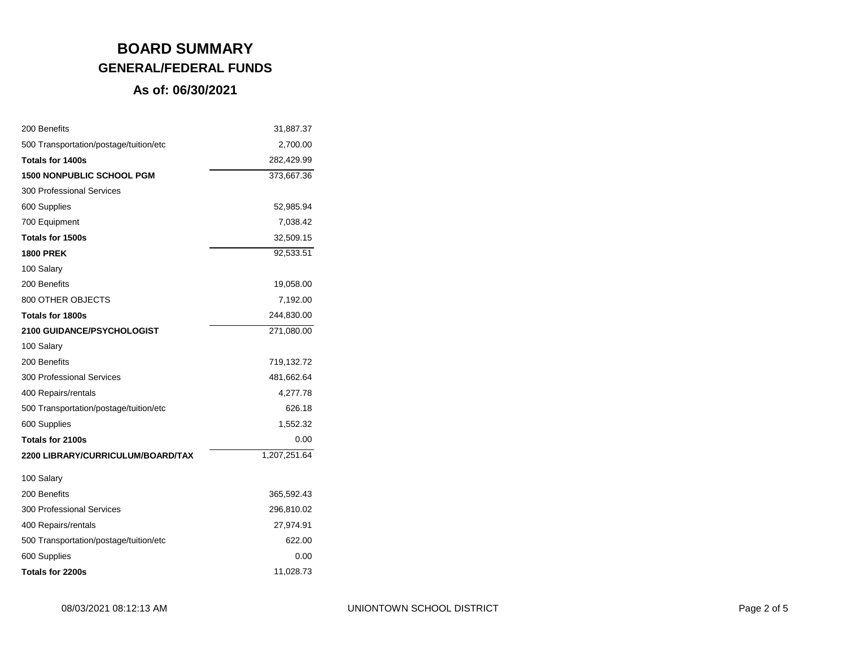| 200 Benefits                           | 31,887.37    |
|----------------------------------------|--------------|
| 500 Transportation/postage/tuition/etc | 2,700.00     |
| <b>Totals for 1400s</b>                | 282,429.99   |
| <b>1500 NONPUBLIC SCHOOL PGM</b>       | 373,667.36   |
| <b>300 Professional Services</b>       |              |
| 600 Supplies                           | 52,985.94    |
| 700 Equipment                          | 7,038.42     |
| Totals for 1500s                       | 32,509.15    |
| <b>1800 PREK</b>                       | 92,533.51    |
| 100 Salary                             |              |
| 200 Benefits                           | 19,058.00    |
| 800 OTHER OBJECTS                      | 7,192.00     |
| <b>Totals for 1800s</b>                | 244,830.00   |
| <b>2100 GUIDANCE/PSYCHOLOGIST</b>      | 271,080.00   |
| 100 Salary                             |              |
| 200 Benefits                           | 719,132.72   |
| 300 Professional Services              | 481,662.64   |
| 400 Repairs/rentals                    | 4,277.78     |
| 500 Transportation/postage/tuition/etc | 626.18       |
| 600 Supplies                           | 1,552.32     |
| Totals for 2100s                       | 0.00         |
| 2200 LIBRARY/CURRICULUM/BOARD/TAX      | 1,207,251.64 |
| 100 Salary                             |              |
| 200 Benefits                           | 365,592.43   |
| <b>300 Professional Services</b>       | 296,810.02   |
| 400 Repairs/rentals                    | 27,974.91    |
| 500 Transportation/postage/tuition/etc | 622.00       |
| 600 Supplies                           | 0.00         |
| Totals for 2200s                       | 11,028.73    |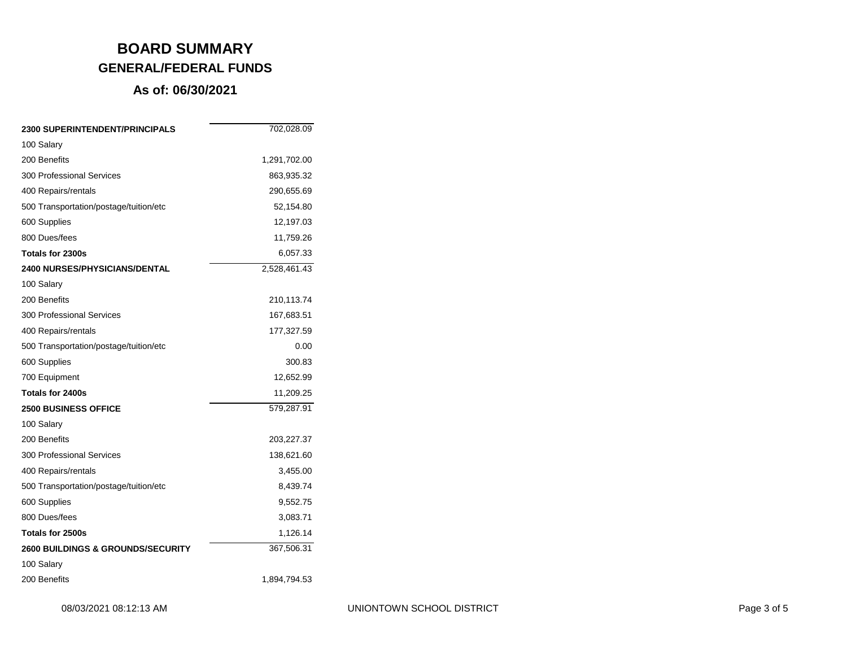| <b>2300 SUPERINTENDENT/PRINCIPALS</b>        | 702,028.09   |
|----------------------------------------------|--------------|
| 100 Salary                                   |              |
| 200 Benefits                                 | 1,291,702.00 |
| <b>300 Professional Services</b>             | 863,935.32   |
| 400 Repairs/rentals                          | 290,655.69   |
| 500 Transportation/postage/tuition/etc       | 52,154.80    |
| 600 Supplies                                 | 12,197.03    |
| 800 Dues/fees                                | 11,759.26    |
| Totals for 2300s                             | 6,057.33     |
| <b>2400 NURSES/PHYSICIANS/DENTAL</b>         | 2,528,461.43 |
| 100 Salary                                   |              |
| 200 Benefits                                 | 210,113.74   |
| <b>300 Professional Services</b>             | 167,683.51   |
| 400 Repairs/rentals                          | 177,327.59   |
| 500 Transportation/postage/tuition/etc       | 0.00         |
| 600 Supplies                                 | 300.83       |
| 700 Equipment                                | 12,652.99    |
| Totals for 2400s                             | 11,209.25    |
| <b>2500 BUSINESS OFFICE</b>                  | 579,287.91   |
| 100 Salary                                   |              |
| 200 Benefits                                 | 203,227.37   |
| 300 Professional Services                    | 138,621.60   |
| 400 Repairs/rentals                          | 3,455.00     |
| 500 Transportation/postage/tuition/etc       | 8,439.74     |
| 600 Supplies                                 | 9,552.75     |
| 800 Dues/fees                                | 3,083.71     |
| Totals for 2500s                             | 1,126.14     |
| <b>2600 BUILDINGS &amp; GROUNDS/SECURITY</b> | 367,506.31   |
| 100 Salary                                   |              |
| 200 Benefits                                 | 1,894,794.53 |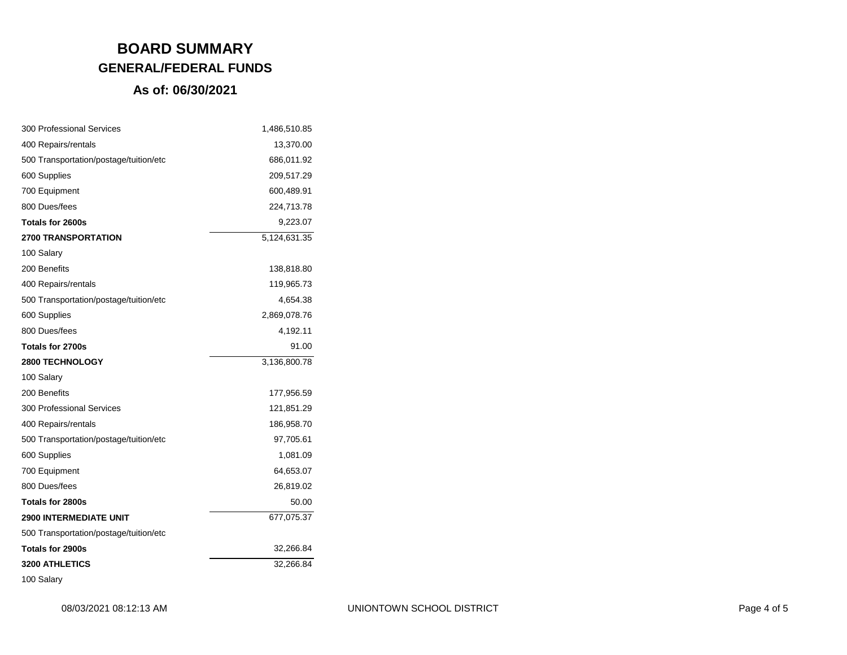| 300 Professional Services              | 1,486,510.85 |
|----------------------------------------|--------------|
| 400 Repairs/rentals                    | 13,370.00    |
| 500 Transportation/postage/tuition/etc | 686,011.92   |
| 600 Supplies                           | 209,517.29   |
| 700 Equipment                          | 600,489.91   |
| 800 Dues/fees                          | 224,713.78   |
| Totals for 2600s                       | 9,223.07     |
| <b>2700 TRANSPORTATION</b>             | 5,124,631.35 |
| 100 Salary                             |              |
| 200 Benefits                           | 138,818.80   |
| 400 Repairs/rentals                    | 119,965.73   |
| 500 Transportation/postage/tuition/etc | 4,654.38     |
| 600 Supplies                           | 2,869,078.76 |
| 800 Dues/fees                          | 4,192.11     |
| Totals for 2700s                       | 91.00        |
|                                        |              |
| <b>2800 TECHNOLOGY</b>                 | 3,136,800.78 |
| 100 Salary                             |              |
| 200 Benefits                           | 177,956.59   |
| <b>300 Professional Services</b>       | 121,851.29   |
| 400 Repairs/rentals                    | 186,958.70   |
| 500 Transportation/postage/tuition/etc | 97,705.61    |
| 600 Supplies                           | 1,081.09     |
| 700 Equipment                          | 64,653.07    |
| 800 Dues/fees                          | 26,819.02    |
| Totals for 2800s                       | 50.00        |
| <b>2900 INTERMEDIATE UNIT</b>          | 677,075.37   |
| 500 Transportation/postage/tuition/etc |              |
| Totals for 2900s                       | 32,266.84    |
| <b>3200 ATHLETICS</b>                  | 32,266.84    |